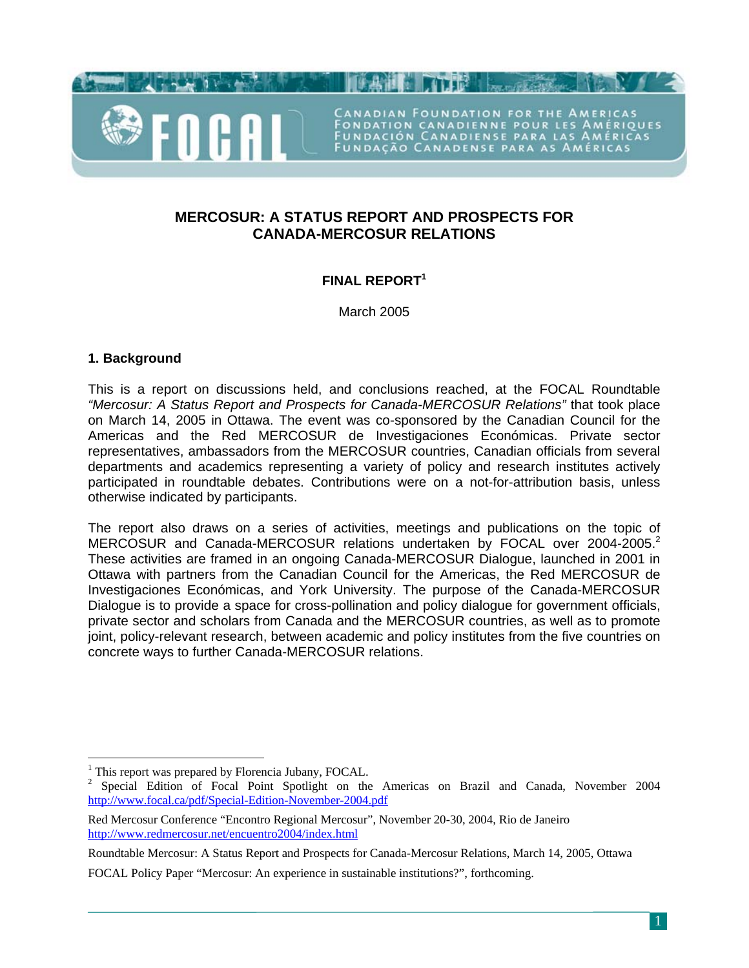

CANADIAN FOUNDATION FOR THE AMERICAS FONDATION CANADIENNE POUR LES AMÉRIQUES<br>FUNDACIÓN CANADIENSE PARA LAS AMÉRICAS<br>FUNDAÇÃO CANADENSE PARA AS AMÉRICAS

# **MERCOSUR: A STATUS REPORT AND PROSPECTS FOR CANADA-MERCOSUR RELATIONS**

# **FINAL REPORT[1](#page-0-0)**

March 2005

# **1. Background**

 $\overline{a}$ 

This is a report on discussions held, and conclusions reached, at the FOCAL Roundtable *"Mercosur: A Status Report and Prospects for Canada-MERCOSUR Relations"* that took place on March 14, 2005 in Ottawa. The event was co-sponsored by the Canadian Council for the Americas and the Red MERCOSUR de Investigaciones Económicas. Private sector representatives, ambassadors from the MERCOSUR countries, Canadian officials from several departments and academics representing a variety of policy and research institutes actively participated in roundtable debates. Contributions were on a not-for-attribution basis, unless otherwise indicated by participants.

The report also draws on a series of activities, meetings and publications on the topic of MERCOSUR and Canada-MERCOSUR relations undertaken by FOCAL over [2](#page-0-1)004-2005.<sup>2</sup> These activities are framed in an ongoing Canada-MERCOSUR Dialogue, launched in 2001 in Ottawa with partners from the Canadian Council for the Americas, the Red MERCOSUR de Investigaciones Económicas, and York University. The purpose of the Canada-MERCOSUR Dialogue is to provide a space for cross-pollination and policy dialogue for government officials, private sector and scholars from Canada and the MERCOSUR countries, as well as to promote joint, policy-relevant research, between academic and policy institutes from the five countries on concrete ways to further Canada-MERCOSUR relations.

<span id="page-0-0"></span><sup>&</sup>lt;sup>1</sup> This report was prepared by Florencia Jubany, FOCAL.

<span id="page-0-1"></span><sup>&</sup>lt;sup>2</sup> Special Edition of Focal Point Spotlight on the Americas on Brazil and Canada, November 2004 <http://www.focal.ca/pdf/Special-Edition-November-2004.pdf>

Red Mercosur Conference "Encontro Regional Mercosur", November 20-30, 2004, Rio de Janeiro <http://www.redmercosur.net/encuentro2004/index.html>

Roundtable Mercosur: A Status Report and Prospects for Canada-Mercosur Relations, March 14, 2005, Ottawa

FOCAL Policy Paper "Mercosur: An experience in sustainable institutions?", forthcoming.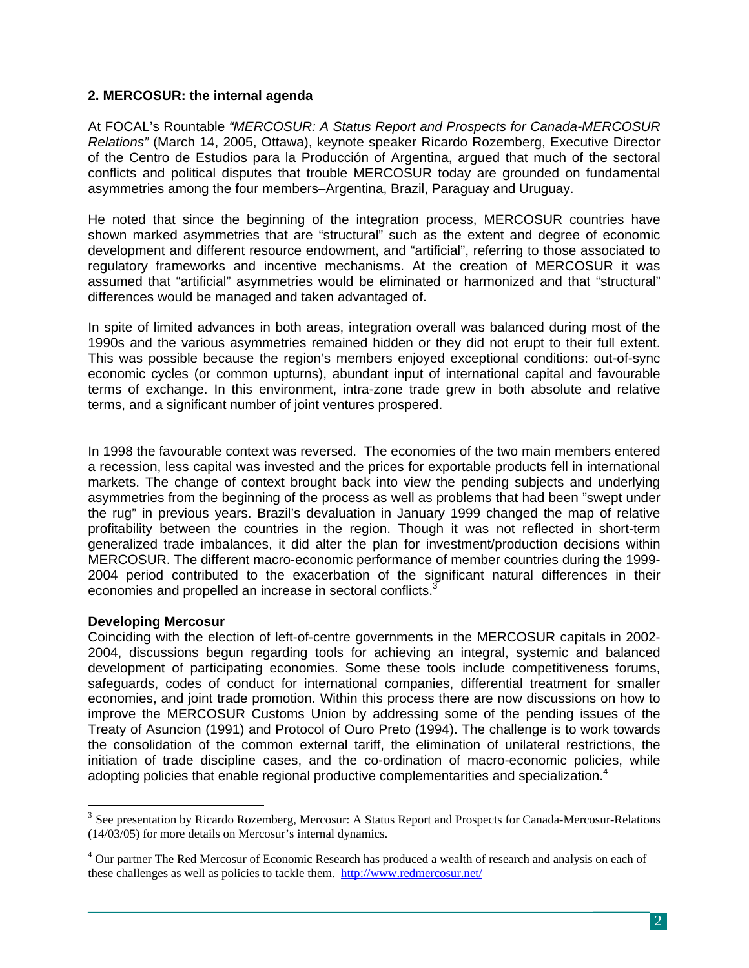### **2. MERCOSUR: the internal agenda**

At FOCAL's Rountable *"MERCOSUR: A Status Report and Prospects for Canada-MERCOSUR Relations"* (March 14, 2005, Ottawa), keynote speaker Ricardo Rozemberg, Executive Director of the Centro de Estudios para la Producción of Argentina, argued that much of the sectoral conflicts and political disputes that trouble MERCOSUR today are grounded on fundamental asymmetries among the four members–Argentina, Brazil, Paraguay and Uruguay.

He noted that since the beginning of the integration process, MERCOSUR countries have shown marked asymmetries that are "structural" such as the extent and degree of economic development and different resource endowment, and "artificial", referring to those associated to regulatory frameworks and incentive mechanisms. At the creation of MERCOSUR it was assumed that "artificial" asymmetries would be eliminated or harmonized and that "structural" differences would be managed and taken advantaged of.

In spite of limited advances in both areas, integration overall was balanced during most of the 1990s and the various asymmetries remained hidden or they did not erupt to their full extent. This was possible because the region's members enjoyed exceptional conditions: out-of-sync economic cycles (or common upturns), abundant input of international capital and favourable terms of exchange. In this environment, intra-zone trade grew in both absolute and relative terms, and a significant number of joint ventures prospered.

In 1998 the favourable context was reversed. The economies of the two main members entered a recession, less capital was invested and the prices for exportable products fell in international markets. The change of context brought back into view the pending subjects and underlying asymmetries from the beginning of the process as well as problems that had been "swept under the rug" in previous years. Brazil's devaluation in January 1999 changed the map of relative profitability between the countries in the region. Though it was not reflected in short-term generalized trade imbalances, it did alter the plan for investment/production decisions within MERCOSUR. The different macro-economic performance of member countries during the 1999- 2004 period contributed to the exacerbation of the significant natural differences in their economies and propelled an increase in sectoral conflicts.<sup>[3](#page-1-0)</sup>

### **Developing Mercosur**

 $\overline{a}$ 

Coinciding with the election of left-of-centre governments in the MERCOSUR capitals in 2002- 2004, discussions begun regarding tools for achieving an integral, systemic and balanced development of participating economies. Some these tools include competitiveness forums, safeguards, codes of conduct for international companies, differential treatment for smaller economies, and joint trade promotion. Within this process there are now discussions on how to improve the MERCOSUR Customs Union by addressing some of the pending issues of the Treaty of Asuncion (1991) and Protocol of Ouro Preto (1994). The challenge is to work towards the consolidation of the common external tariff, the elimination of unilateral restrictions, the initiation of trade discipline cases, and the co-ordination of macro-economic policies, while adopting policies that enable regional productive complementarities and specialization.<sup>[4](#page-1-1)</sup>

<span id="page-1-0"></span><sup>&</sup>lt;sup>3</sup> See presentation by Ricardo Rozemberg, Mercosur: A Status Report and Prospects for Canada-Mercosur-Relations (14/03/05) for more details on Mercosur's internal dynamics.

<span id="page-1-1"></span><sup>&</sup>lt;sup>4</sup> Our partner The Red Mercosur of Economic Research has produced a wealth of research and analysis on each of these challenges as well as policies to tackle them. <http://www.redmercosur.net/>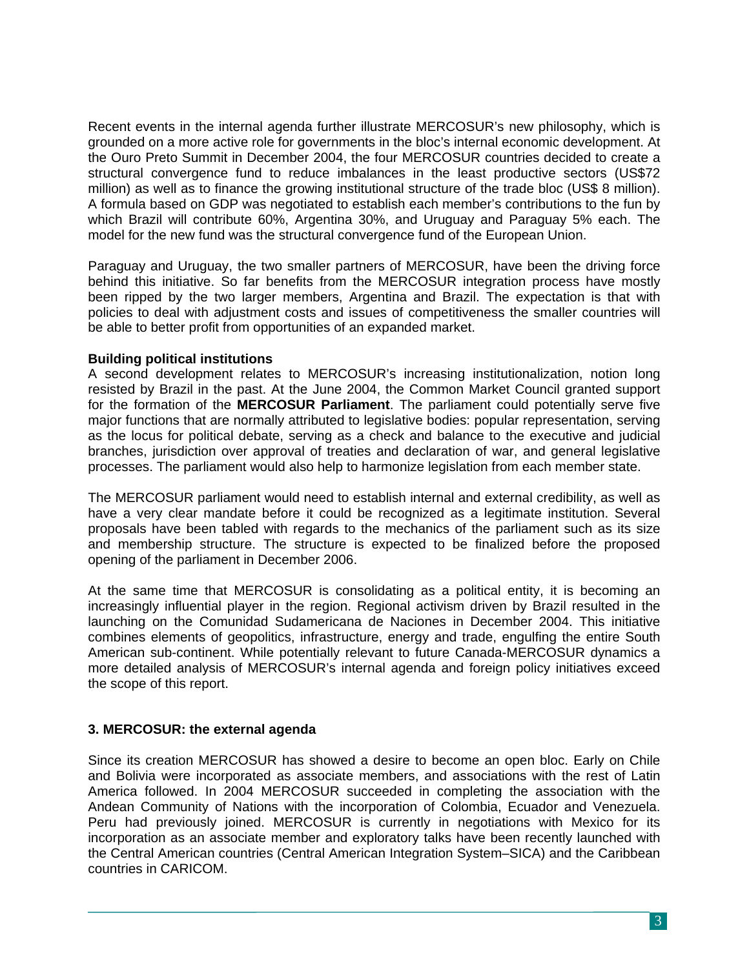Recent events in the internal agenda further illustrate MERCOSUR's new philosophy, which is grounded on a more active role for governments in the bloc's internal economic development. At the Ouro Preto Summit in December 2004, the four MERCOSUR countries decided to create a structural convergence fund to reduce imbalances in the least productive sectors (US\$72 million) as well as to finance the growing institutional structure of the trade bloc (US\$ 8 million). A formula based on GDP was negotiated to establish each member's contributions to the fun by which Brazil will contribute 60%, Argentina 30%, and Uruguay and Paraguay 5% each. The model for the new fund was the structural convergence fund of the European Union.

Paraguay and Uruguay, the two smaller partners of MERCOSUR, have been the driving force behind this initiative. So far benefits from the MERCOSUR integration process have mostly been ripped by the two larger members, Argentina and Brazil. The expectation is that with policies to deal with adjustment costs and issues of competitiveness the smaller countries will be able to better profit from opportunities of an expanded market.

### **Building political institutions**

A second development relates to MERCOSUR's increasing institutionalization, notion long resisted by Brazil in the past. At the June 2004, the Common Market Council granted support for the formation of the **MERCOSUR Parliament**. The parliament could potentially serve five major functions that are normally attributed to legislative bodies: popular representation, serving as the locus for political debate, serving as a check and balance to the executive and judicial branches, jurisdiction over approval of treaties and declaration of war, and general legislative processes. The parliament would also help to harmonize legislation from each member state.

The MERCOSUR parliament would need to establish internal and external credibility, as well as have a very clear mandate before it could be recognized as a legitimate institution. Several proposals have been tabled with regards to the mechanics of the parliament such as its size and membership structure. The structure is expected to be finalized before the proposed opening of the parliament in December 2006.

At the same time that MERCOSUR is consolidating as a political entity, it is becoming an increasingly influential player in the region. Regional activism driven by Brazil resulted in the launching on the Comunidad Sudamericana de Naciones in December 2004. This initiative combines elements of geopolitics, infrastructure, energy and trade, engulfing the entire South American sub-continent. While potentially relevant to future Canada-MERCOSUR dynamics a more detailed analysis of MERCOSUR's internal agenda and foreign policy initiatives exceed the scope of this report.

# **3. MERCOSUR: the external agenda**

Since its creation MERCOSUR has showed a desire to become an open bloc. Early on Chile and Bolivia were incorporated as associate members, and associations with the rest of Latin America followed. In 2004 MERCOSUR succeeded in completing the association with the Andean Community of Nations with the incorporation of Colombia, Ecuador and Venezuela. Peru had previously joined. MERCOSUR is currently in negotiations with Mexico for its incorporation as an associate member and exploratory talks have been recently launched with the Central American countries (Central American Integration System–SICA) and the Caribbean countries in CARICOM.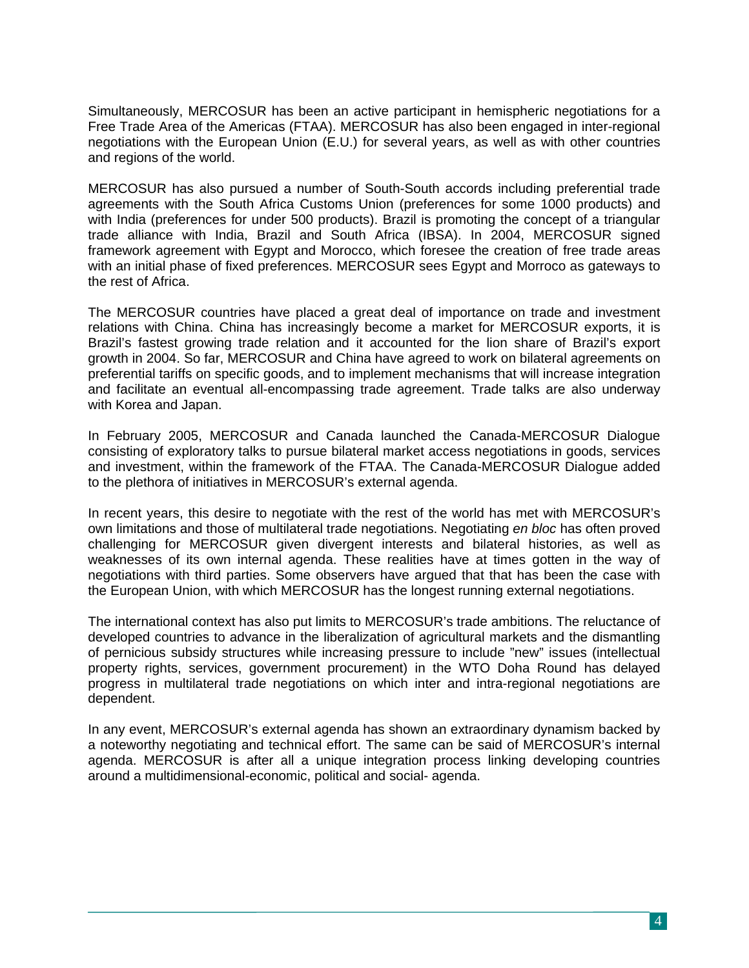Simultaneously, MERCOSUR has been an active participant in hemispheric negotiations for a Free Trade Area of the Americas (FTAA). MERCOSUR has also been engaged in inter-regional negotiations with the European Union (E.U.) for several years, as well as with other countries and regions of the world.

MERCOSUR has also pursued a number of South-South accords including preferential trade agreements with the South Africa Customs Union (preferences for some 1000 products) and with India (preferences for under 500 products). Brazil is promoting the concept of a triangular trade alliance with India, Brazil and South Africa (IBSA). In 2004, MERCOSUR signed framework agreement with Egypt and Morocco, which foresee the creation of free trade areas with an initial phase of fixed preferences. MERCOSUR sees Egypt and Morroco as gateways to the rest of Africa.

The MERCOSUR countries have placed a great deal of importance on trade and investment relations with China. China has increasingly become a market for MERCOSUR exports, it is Brazil's fastest growing trade relation and it accounted for the lion share of Brazil's export growth in 2004. So far, MERCOSUR and China have agreed to work on bilateral agreements on preferential tariffs on specific goods, and to implement mechanisms that will increase integration and facilitate an eventual all-encompassing trade agreement. Trade talks are also underway with Korea and Japan.

In February 2005, MERCOSUR and Canada launched the Canada-MERCOSUR Dialogue consisting of exploratory talks to pursue bilateral market access negotiations in goods, services and investment, within the framework of the FTAA. The Canada-MERCOSUR Dialogue added to the plethora of initiatives in MERCOSUR's external agenda.

In recent years, this desire to negotiate with the rest of the world has met with MERCOSUR's own limitations and those of multilateral trade negotiations. Negotiating *en bloc* has often proved challenging for MERCOSUR given divergent interests and bilateral histories, as well as weaknesses of its own internal agenda. These realities have at times gotten in the way of negotiations with third parties. Some observers have argued that that has been the case with the European Union, with which MERCOSUR has the longest running external negotiations.

The international context has also put limits to MERCOSUR's trade ambitions. The reluctance of developed countries to advance in the liberalization of agricultural markets and the dismantling of pernicious subsidy structures while increasing pressure to include "new" issues (intellectual property rights, services, government procurement) in the WTO Doha Round has delayed progress in multilateral trade negotiations on which inter and intra-regional negotiations are dependent.

In any event, MERCOSUR's external agenda has shown an extraordinary dynamism backed by a noteworthy negotiating and technical effort. The same can be said of MERCOSUR's internal agenda. MERCOSUR is after all a unique integration process linking developing countries around a multidimensional-economic, political and social- agenda.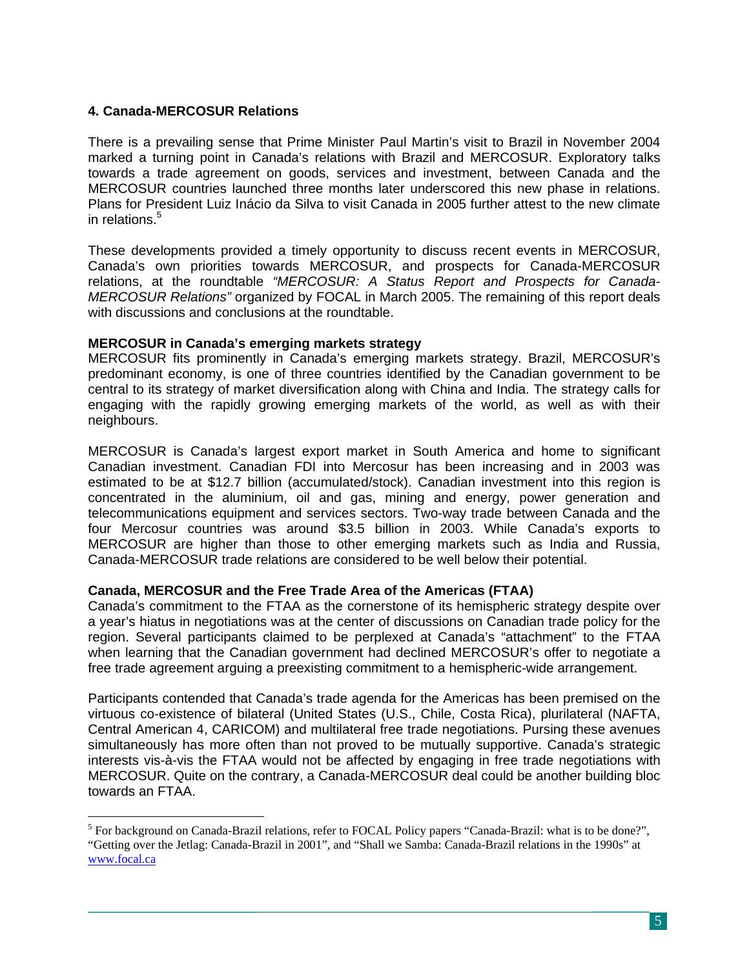# **4. Canada-MERCOSUR Relations**

 $\overline{a}$ 

There is a prevailing sense that Prime Minister Paul Martin's visit to Brazil in November 2004 marked a turning point in Canada's relations with Brazil and MERCOSUR. Exploratory talks towards a trade agreement on goods, services and investment, between Canada and the MERCOSUR countries launched three months later underscored this new phase in relations. Plans for President Luiz Inácio da Silva to visit Canada in 2005 further attest to the new climate in relations.<sup>5</sup>

These developments provided a timely opportunity to discuss recent events in MERCOSUR, Canada's own priorities towards MERCOSUR, and prospects for Canada-MERCOSUR relations, at the roundtable *"MERCOSUR: A Status Report and Prospects for Canada-MERCOSUR Relations"* organized by FOCAL in March 2005. The remaining of this report deals with discussions and conclusions at the roundtable.

### **MERCOSUR in Canada's emerging markets strategy**

MERCOSUR fits prominently in Canada's emerging markets strategy. Brazil, MERCOSUR's predominant economy, is one of three countries identified by the Canadian government to be central to its strategy of market diversification along with China and India. The strategy calls for engaging with the rapidly growing emerging markets of the world, as well as with their neighbours.

MERCOSUR is Canada's largest export market in South America and home to significant Canadian investment. Canadian FDI into Mercosur has been increasing and in 2003 was estimated to be at \$12.7 billion (accumulated/stock). Canadian investment into this region is concentrated in the aluminium, oil and gas, mining and energy, power generation and telecommunications equipment and services sectors. Two-way trade between Canada and the four Mercosur countries was around \$3.5 billion in 2003. While Canada's exports to MERCOSUR are higher than those to other emerging markets such as India and Russia, Canada-MERCOSUR trade relations are considered to be well below their potential.

# **Canada, MERCOSUR and the Free Trade Area of the Americas (FTAA)**

Canada's commitment to the FTAA as the cornerstone of its hemispheric strategy despite over a year's hiatus in negotiations was at the center of discussions on Canadian trade policy for the region. Several participants claimed to be perplexed at Canada's "attachment" to the FTAA when learning that the Canadian government had declined MERCOSUR's offer to negotiate a free trade agreement arguing a preexisting commitment to a hemispheric-wide arrangement.

Participants contended that Canada's trade agenda for the Americas has been premised on the virtuous co-existence of bilateral (United States (U.S., Chile, Costa Rica), plurilateral (NAFTA, Central American 4, CARICOM) and multilateral free trade negotiations. Pursing these avenues simultaneously has more often than not proved to be mutually supportive. Canada's strategic interests vis-à-vis the FTAA would not be affected by engaging in free trade negotiations with MERCOSUR. Quite on the contrary, a Canada-MERCOSUR deal could be another building bloc towards an FTAA.

<span id="page-4-0"></span><sup>&</sup>lt;sup>5</sup> For background on Canada-Brazil relations, refer to FOCAL Policy papers "Canada-Brazil: what is to be done?", "Getting over the Jetlag: Canada-Brazil in 2001", and "Shall we Samba: Canada-Brazil relations in the 1990s" at [www.focal.ca](http://www.focal.ca/)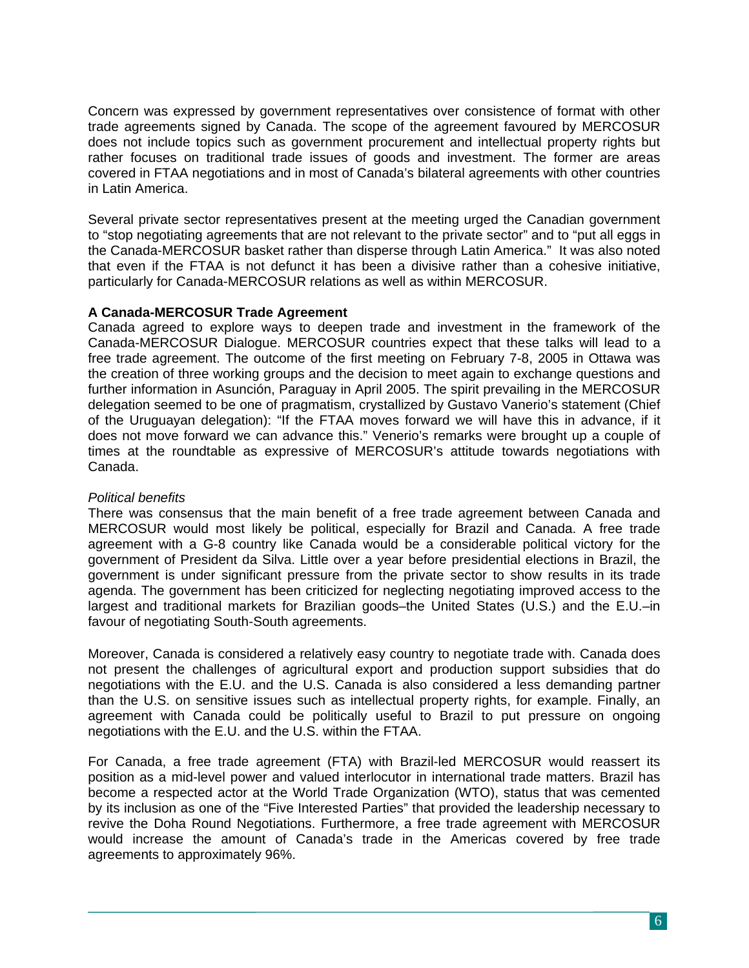Concern was expressed by government representatives over consistence of format with other trade agreements signed by Canada. The scope of the agreement favoured by MERCOSUR does not include topics such as government procurement and intellectual property rights but rather focuses on traditional trade issues of goods and investment. The former are areas covered in FTAA negotiations and in most of Canada's bilateral agreements with other countries in Latin America.

Several private sector representatives present at the meeting urged the Canadian government to "stop negotiating agreements that are not relevant to the private sector" and to "put all eggs in the Canada-MERCOSUR basket rather than disperse through Latin America." It was also noted that even if the FTAA is not defunct it has been a divisive rather than a cohesive initiative, particularly for Canada-MERCOSUR relations as well as within MERCOSUR.

# **A Canada-MERCOSUR Trade Agreement**

Canada agreed to explore ways to deepen trade and investment in the framework of the Canada-MERCOSUR Dialogue. MERCOSUR countries expect that these talks will lead to a free trade agreement. The outcome of the first meeting on February 7-8, 2005 in Ottawa was the creation of three working groups and the decision to meet again to exchange questions and further information in Asunción, Paraguay in April 2005. The spirit prevailing in the MERCOSUR delegation seemed to be one of pragmatism, crystallized by Gustavo Vanerio's statement (Chief of the Uruguayan delegation): "If the FTAA moves forward we will have this in advance, if it does not move forward we can advance this." Venerio's remarks were brought up a couple of times at the roundtable as expressive of MERCOSUR's attitude towards negotiations with Canada.

### *Political benefits*

There was consensus that the main benefit of a free trade agreement between Canada and MERCOSUR would most likely be political, especially for Brazil and Canada. A free trade agreement with a G-8 country like Canada would be a considerable political victory for the government of President da Silva. Little over a year before presidential elections in Brazil, the government is under significant pressure from the private sector to show results in its trade agenda. The government has been criticized for neglecting negotiating improved access to the largest and traditional markets for Brazilian goods–the United States (U.S.) and the E.U.–in favour of negotiating South-South agreements.

Moreover, Canada is considered a relatively easy country to negotiate trade with. Canada does not present the challenges of agricultural export and production support subsidies that do negotiations with the E.U. and the U.S. Canada is also considered a less demanding partner than the U.S. on sensitive issues such as intellectual property rights, for example. Finally, an agreement with Canada could be politically useful to Brazil to put pressure on ongoing negotiations with the E.U. and the U.S. within the FTAA.

For Canada, a free trade agreement (FTA) with Brazil-led MERCOSUR would reassert its position as a mid-level power and valued interlocutor in international trade matters. Brazil has become a respected actor at the World Trade Organization (WTO), status that was cemented by its inclusion as one of the "Five Interested Parties" that provided the leadership necessary to revive the Doha Round Negotiations. Furthermore, a free trade agreement with MERCOSUR would increase the amount of Canada's trade in the Americas covered by free trade agreements to approximately 96%.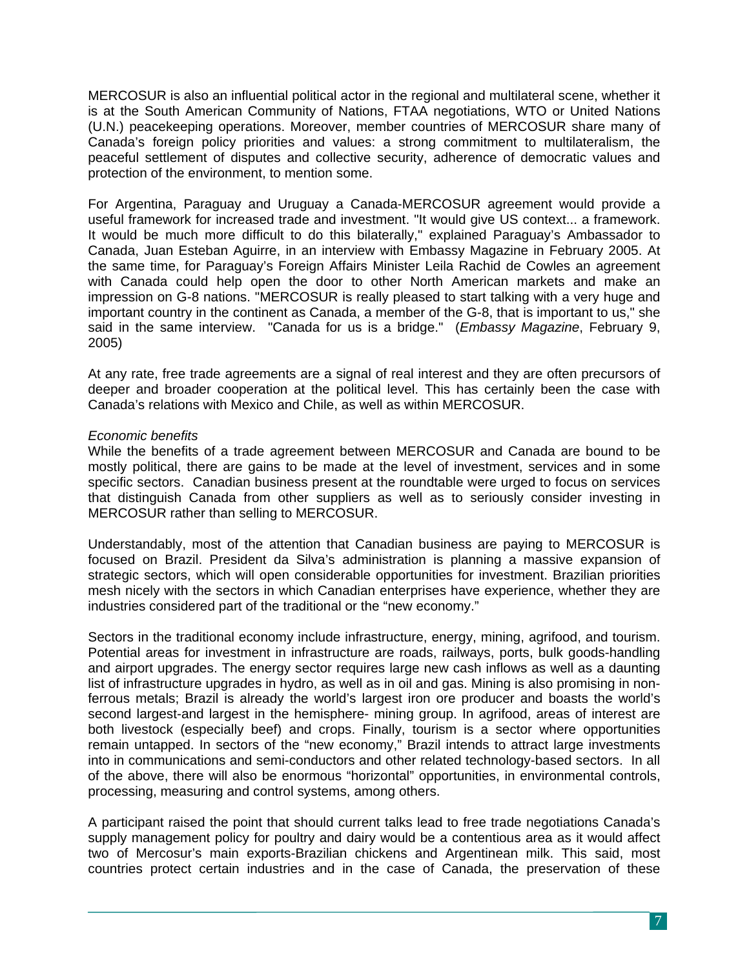MERCOSUR is also an influential political actor in the regional and multilateral scene, whether it is at the South American Community of Nations, FTAA negotiations, WTO or United Nations (U.N.) peacekeeping operations. Moreover, member countries of MERCOSUR share many of Canada's foreign policy priorities and values: a strong commitment to multilateralism, the peaceful settlement of disputes and collective security, adherence of democratic values and protection of the environment, to mention some.

For Argentina, Paraguay and Uruguay a Canada-MERCOSUR agreement would provide a useful framework for increased trade and investment. "It would give US context... a framework. It would be much more difficult to do this bilaterally," explained Paraguay's Ambassador to Canada, Juan Esteban Aguirre, in an interview with Embassy Magazine in February 2005. At the same time, for Paraguay's Foreign Affairs Minister Leila Rachid de Cowles an agreement with Canada could help open the door to other North American markets and make an impression on G-8 nations. "MERCOSUR is really pleased to start talking with a very huge and important country in the continent as Canada, a member of the G-8, that is important to us," she said in the same interview. "Canada for us is a bridge." (*Embassy Magazine*, February 9, 2005)

At any rate, free trade agreements are a signal of real interest and they are often precursors of deeper and broader cooperation at the political level. This has certainly been the case with Canada's relations with Mexico and Chile, as well as within MERCOSUR.

### *Economic benefits*

While the benefits of a trade agreement between MERCOSUR and Canada are bound to be mostly political, there are gains to be made at the level of investment, services and in some specific sectors. Canadian business present at the roundtable were urged to focus on services that distinguish Canada from other suppliers as well as to seriously consider investing in MERCOSUR rather than selling to MERCOSUR.

Understandably, most of the attention that Canadian business are paying to MERCOSUR is focused on Brazil. President da Silva's administration is planning a massive expansion of strategic sectors, which will open considerable opportunities for investment. Brazilian priorities mesh nicely with the sectors in which Canadian enterprises have experience, whether they are industries considered part of the traditional or the "new economy."

Sectors in the traditional economy include infrastructure, energy, mining, agrifood, and tourism. Potential areas for investment in infrastructure are roads, railways, ports, bulk goods-handling and airport upgrades. The energy sector requires large new cash inflows as well as a daunting list of infrastructure upgrades in hydro, as well as in oil and gas. Mining is also promising in nonferrous metals; Brazil is already the world's largest iron ore producer and boasts the world's second largest-and largest in the hemisphere- mining group. In agrifood, areas of interest are both livestock (especially beef) and crops. Finally, tourism is a sector where opportunities remain untapped. In sectors of the "new economy," Brazil intends to attract large investments into in communications and semi-conductors and other related technology-based sectors. In all of the above, there will also be enormous "horizontal" opportunities, in environmental controls, processing, measuring and control systems, among others.

A participant raised the point that should current talks lead to free trade negotiations Canada's supply management policy for poultry and dairy would be a contentious area as it would affect two of Mercosur's main exports-Brazilian chickens and Argentinean milk. This said, most countries protect certain industries and in the case of Canada, the preservation of these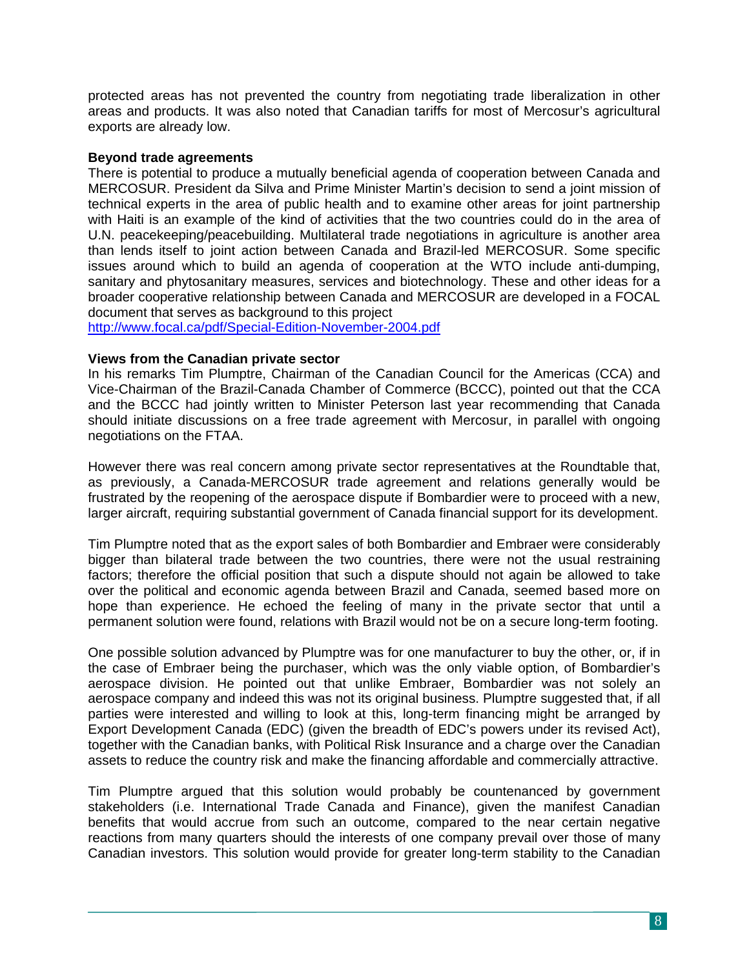protected areas has not prevented the country from negotiating trade liberalization in other areas and products. It was also noted that Canadian tariffs for most of Mercosur's agricultural exports are already low.

### **Beyond trade agreements**

There is potential to produce a mutually beneficial agenda of cooperation between Canada and MERCOSUR. President da Silva and Prime Minister Martin's decision to send a joint mission of technical experts in the area of public health and to examine other areas for joint partnership with Haiti is an example of the kind of activities that the two countries could do in the area of U.N. peacekeeping/peacebuilding. Multilateral trade negotiations in agriculture is another area than lends itself to joint action between Canada and Brazil-led MERCOSUR. Some specific issues around which to build an agenda of cooperation at the WTO include anti-dumping, sanitary and phytosanitary measures, services and biotechnology. These and other ideas for a broader cooperative relationship between Canada and MERCOSUR are developed in a FOCAL document that serves as background to this project

<http://www.focal.ca/pdf/Special-Edition-November-2004.pdf>

### **Views from the Canadian private sector**

In his remarks Tim Plumptre, Chairman of the Canadian Council for the Americas (CCA) and Vice-Chairman of the Brazil-Canada Chamber of Commerce (BCCC), pointed out that the CCA and the BCCC had jointly written to Minister Peterson last year recommending that Canada should initiate discussions on a free trade agreement with Mercosur, in parallel with ongoing negotiations on the FTAA.

However there was real concern among private sector representatives at the Roundtable that, as previously, a Canada-MERCOSUR trade agreement and relations generally would be frustrated by the reopening of the aerospace dispute if Bombardier were to proceed with a new, larger aircraft, requiring substantial government of Canada financial support for its development.

Tim Plumptre noted that as the export sales of both Bombardier and Embraer were considerably bigger than bilateral trade between the two countries, there were not the usual restraining factors; therefore the official position that such a dispute should not again be allowed to take over the political and economic agenda between Brazil and Canada, seemed based more on hope than experience. He echoed the feeling of many in the private sector that until a permanent solution were found, relations with Brazil would not be on a secure long-term footing.

One possible solution advanced by Plumptre was for one manufacturer to buy the other, or, if in the case of Embraer being the purchaser, which was the only viable option, of Bombardier's aerospace division. He pointed out that unlike Embraer, Bombardier was not solely an aerospace company and indeed this was not its original business. Plumptre suggested that, if all parties were interested and willing to look at this, long-term financing might be arranged by Export Development Canada (EDC) (given the breadth of EDC's powers under its revised Act), together with the Canadian banks, with Political Risk Insurance and a charge over the Canadian assets to reduce the country risk and make the financing affordable and commercially attractive.

Tim Plumptre argued that this solution would probably be countenanced by government stakeholders (i.e. International Trade Canada and Finance), given the manifest Canadian benefits that would accrue from such an outcome, compared to the near certain negative reactions from many quarters should the interests of one company prevail over those of many Canadian investors. This solution would provide for greater long-term stability to the Canadian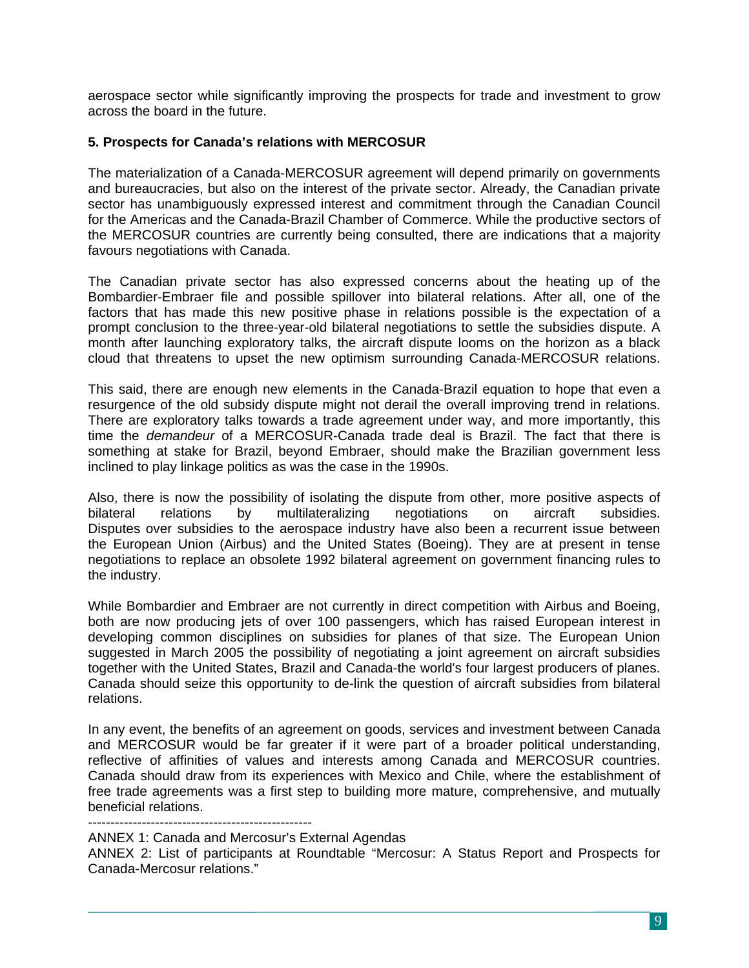aerospace sector while significantly improving the prospects for trade and investment to grow across the board in the future.

### **5. Prospects for Canada's relations with MERCOSUR**

The materialization of a Canada-MERCOSUR agreement will depend primarily on governments and bureaucracies, but also on the interest of the private sector. Already, the Canadian private sector has unambiguously expressed interest and commitment through the Canadian Council for the Americas and the Canada-Brazil Chamber of Commerce. While the productive sectors of the MERCOSUR countries are currently being consulted, there are indications that a majority favours negotiations with Canada.

The Canadian private sector has also expressed concerns about the heating up of the Bombardier-Embraer file and possible spillover into bilateral relations. After all, one of the factors that has made this new positive phase in relations possible is the expectation of a prompt conclusion to the three-year-old bilateral negotiations to settle the subsidies dispute. A month after launching exploratory talks, the aircraft dispute looms on the horizon as a black cloud that threatens to upset the new optimism surrounding Canada-MERCOSUR relations.

This said, there are enough new elements in the Canada-Brazil equation to hope that even a resurgence of the old subsidy dispute might not derail the overall improving trend in relations. There are exploratory talks towards a trade agreement under way, and more importantly, this time the *demandeur* of a MERCOSUR-Canada trade deal is Brazil. The fact that there is something at stake for Brazil, beyond Embraer, should make the Brazilian government less inclined to play linkage politics as was the case in the 1990s.

Also, there is now the possibility of isolating the dispute from other, more positive aspects of bilateral relations by multilateralizing negotiations on aircraft subsidies. Disputes over subsidies to the aerospace industry have also been a recurrent issue between the European Union (Airbus) and the United States (Boeing). They are at present in tense negotiations to replace an obsolete 1992 bilateral agreement on government financing rules to the industry.

While Bombardier and Embraer are not currently in direct competition with Airbus and Boeing, both are now producing jets of over 100 passengers, which has raised European interest in developing common disciplines on subsidies for planes of that size. The European Union suggested in March 2005 the possibility of negotiating a joint agreement on aircraft subsidies together with the United States, Brazil and Canada-the world's four largest producers of planes. Canada should seize this opportunity to de-link the question of aircraft subsidies from bilateral relations.

In any event, the benefits of an agreement on goods, services and investment between Canada and MERCOSUR would be far greater if it were part of a broader political understanding, reflective of affinities of values and interests among Canada and MERCOSUR countries. Canada should draw from its experiences with Mexico and Chile, where the establishment of free trade agreements was a first step to building more mature, comprehensive, and mutually beneficial relations.

--------------------------------------------------

ANNEX 1: Canada and Mercosur's External Agendas

ANNEX 2: List of participants at Roundtable "Mercosur: A Status Report and Prospects for Canada-Mercosur relations."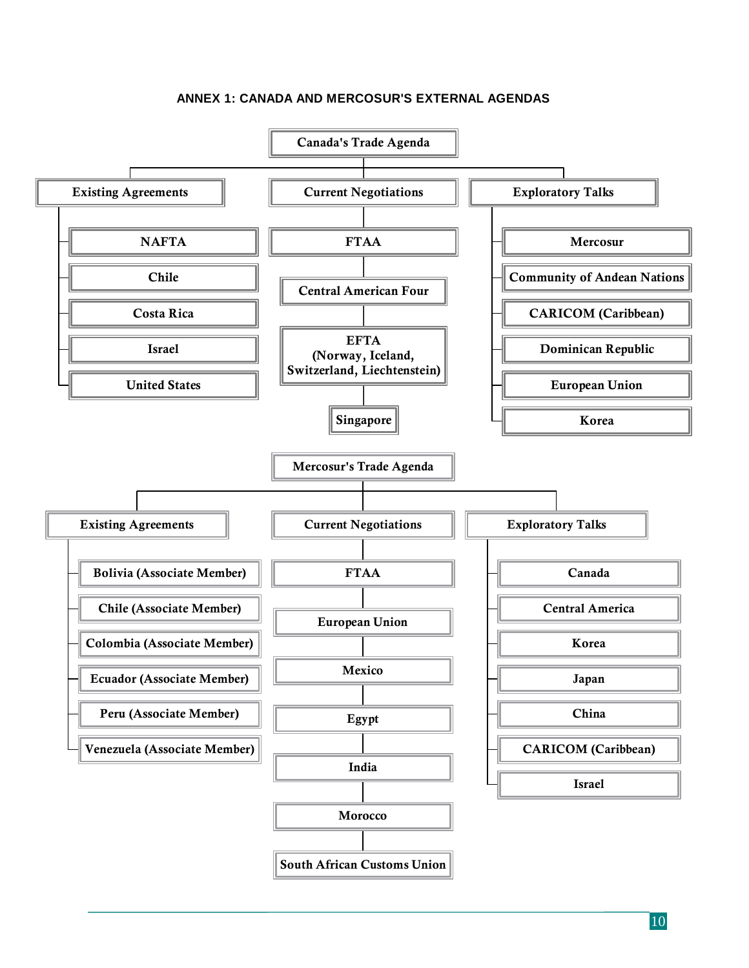### **ANNEX 1: CANADA AND MERCOSUR'S EXTERNAL AGENDAS**



 $\overline{\phantom{a}}$  10  $\overline{\phantom{a}}$  10  $\overline{\phantom{a}}$  10  $\overline{\phantom{a}}$  10  $\overline{\phantom{a}}$  10  $\overline{\phantom{a}}$  10  $\overline{\phantom{a}}$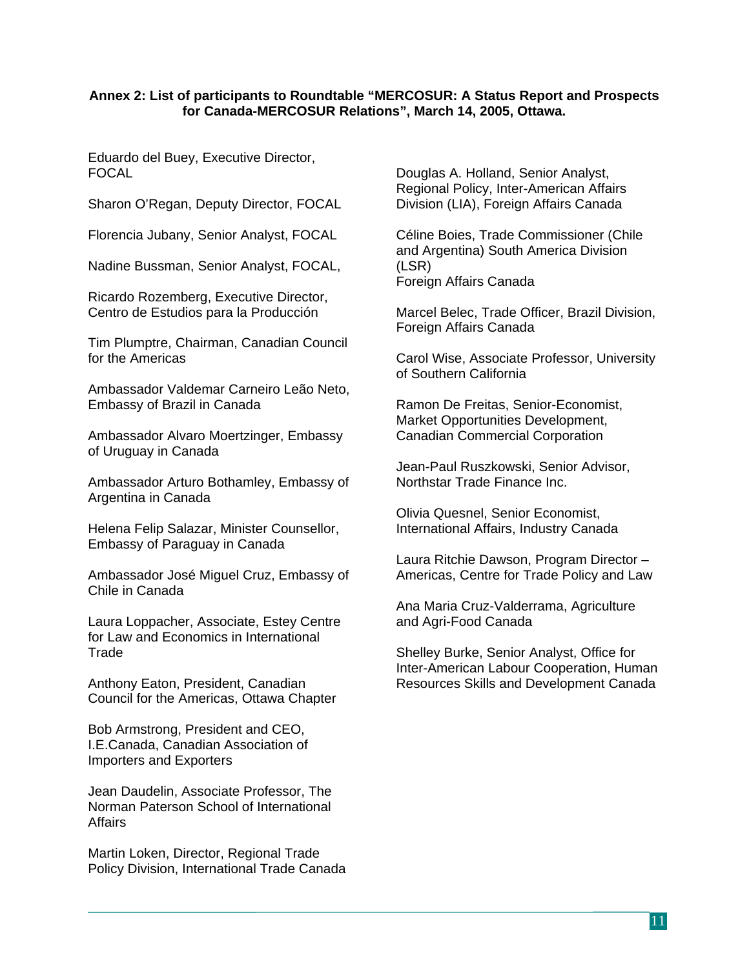### **Annex 2: List of participants to Roundtable "MERCOSUR: A Status Report and Prospects for Canada-MERCOSUR Relations", March 14, 2005, Ottawa.**

Eduardo del Buey, Executive Director, FOCAL

Sharon O'Regan, Deputy Director, FOCAL

Florencia Jubany, Senior Analyst, FOCAL

Nadine Bussman, Senior Analyst, FOCAL,

Ricardo Rozemberg, Executive Director, Centro de Estudios para la Producción

Tim Plumptre, Chairman, Canadian Council for the Americas

Ambassador Valdemar Carneiro Leão Neto, Embassy of Brazil in Canada

Ambassador Alvaro Moertzinger, Embassy of Uruguay in Canada

Ambassador Arturo Bothamley, Embassy of Argentina in Canada

Helena Felip Salazar, Minister Counsellor, Embassy of Paraguay in Canada

Ambassador José Miguel Cruz, Embassy of Chile in Canada

Laura Loppacher, Associate, Estey Centre for Law and Economics in International **Trade** 

Anthony Eaton, President, Canadian Council for the Americas, Ottawa Chapter

Bob Armstrong, President and CEO, I.E.Canada, Canadian Association of Importers and Exporters

Jean Daudelin, Associate Professor, The Norman Paterson School of International **Affairs** 

Martin Loken, Director, Regional Trade Policy Division, International Trade Canada Douglas A. Holland, Senior Analyst, Regional Policy, Inter-American Affairs Division (LIA), Foreign Affairs Canada

Céline Boies, Trade Commissioner (Chile and Argentina) South America Division (LSR) Foreign Affairs Canada

Marcel Belec, Trade Officer, Brazil Division, Foreign Affairs Canada

Carol Wise, Associate Professor, University of Southern California

Ramon De Freitas, Senior-Economist, Market Opportunities Development, Canadian Commercial Corporation

Jean-Paul Ruszkowski, Senior Advisor, Northstar Trade Finance Inc.

Olivia Quesnel, Senior Economist, International Affairs, Industry Canada

Laura Ritchie Dawson, Program Director – Americas, Centre for Trade Policy and Law

Ana Maria Cruz-Valderrama, Agriculture and Agri-Food Canada

Shelley Burke, Senior Analyst, Office for Inter-American Labour Cooperation, Human Resources Skills and Development Canada